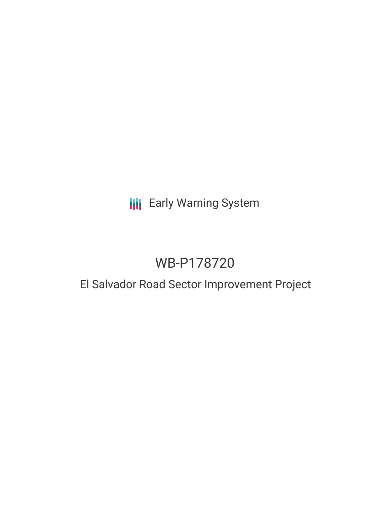# **III** Early Warning System

# WB-P178720

## El Salvador Road Sector Improvement Project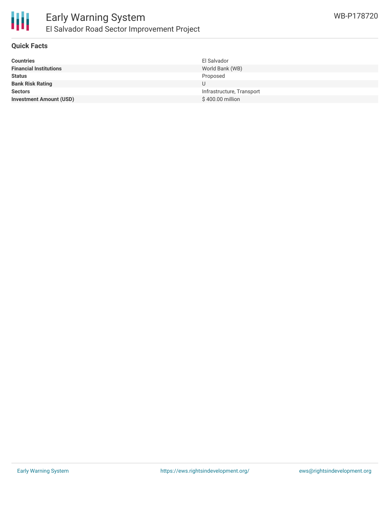

#### **Quick Facts**

| El Salvador               |
|---------------------------|
| World Bank (WB)           |
| Proposed                  |
|                           |
| Infrastructure, Transport |
| \$400.00 million          |
|                           |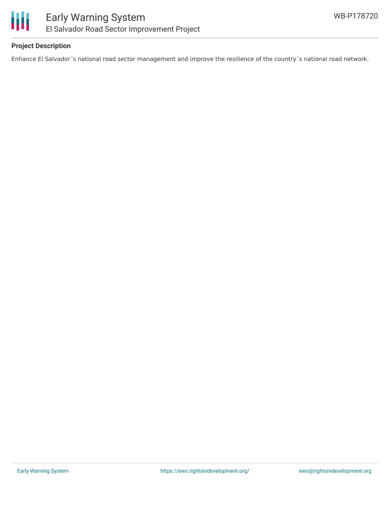

## **Project Description**

Enhance El Salvador´s national road sector management and improve the resilience of the country´s national road network.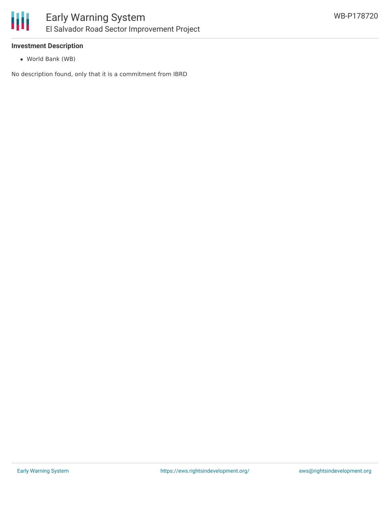

#### **Investment Description**

World Bank (WB)

No description found, only that it is a commitment from IBRD